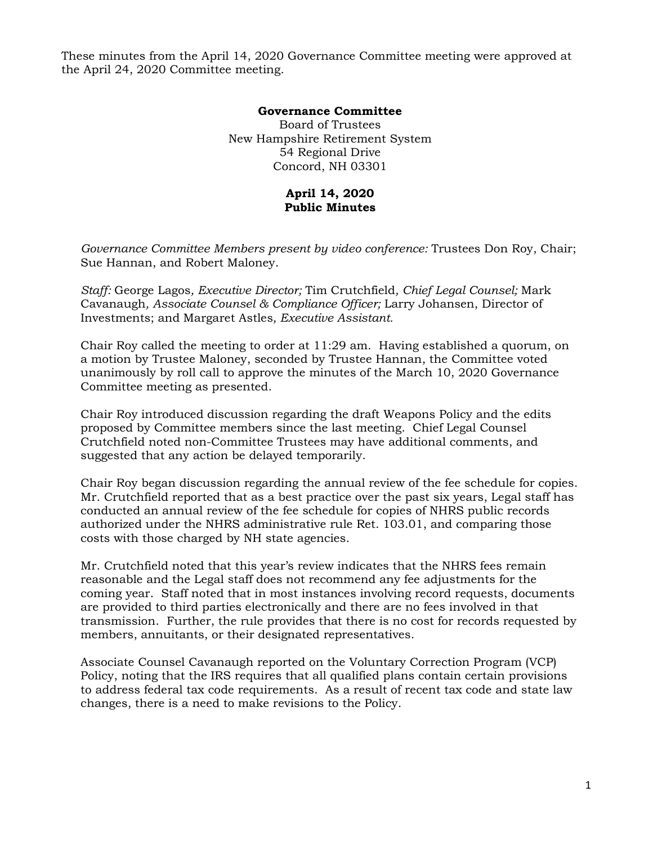These minutes from the April 14, 2020 Governance Committee meeting were approved at the April 24, 2020 Committee meeting.

## **Governance Committee**

Board of Trustees New Hampshire Retirement System 54 Regional Drive Concord, NH 03301

## **April 14, 2020 Public Minutes**

*Governance Committee Members present by video conference:* Trustees Don Roy, Chair; Sue Hannan, and Robert Maloney.

*Staff:* George Lagos*, Executive Director;* Tim Crutchfield*, Chief Legal Counsel;* Mark Cavanaugh*, Associate Counsel & Compliance Officer;* Larry Johansen, Director of Investments; and Margaret Astles*, Executive Assistant.* 

Chair Roy called the meeting to order at 11:29 am. Having established a quorum, on a motion by Trustee Maloney, seconded by Trustee Hannan, the Committee voted unanimously by roll call to approve the minutes of the March 10, 2020 Governance Committee meeting as presented.

Chair Roy introduced discussion regarding the draft Weapons Policy and the edits proposed by Committee members since the last meeting. Chief Legal Counsel Crutchfield noted non-Committee Trustees may have additional comments, and suggested that any action be delayed temporarily.

Chair Roy began discussion regarding the annual review of the fee schedule for copies. Mr. Crutchfield reported that as a best practice over the past six years, Legal staff has conducted an annual review of the fee schedule for copies of NHRS public records authorized under the NHRS administrative rule Ret. 103.01, and comparing those costs with those charged by NH state agencies.

Mr. Crutchfield noted that this year's review indicates that the NHRS fees remain reasonable and the Legal staff does not recommend any fee adjustments for the coming year. Staff noted that in most instances involving record requests, documents are provided to third parties electronically and there are no fees involved in that transmission. Further, the rule provides that there is no cost for records requested by members, annuitants, or their designated representatives.

Associate Counsel Cavanaugh reported on the Voluntary Correction Program (VCP) Policy, noting that the IRS requires that all qualified plans contain certain provisions to address federal tax code requirements. As a result of recent tax code and state law changes, there is a need to make revisions to the Policy.